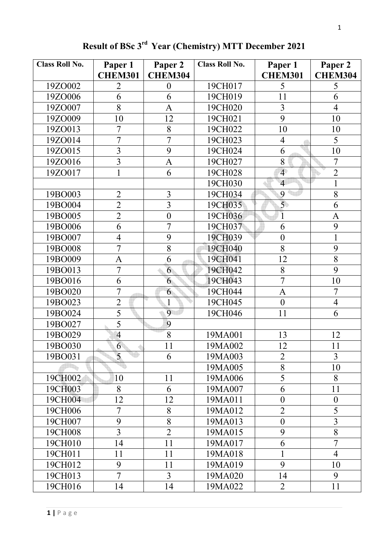| <b>Class Roll No.</b> | Paper 1<br><b>CHEM301</b> | Paper 2<br><b>CHEM304</b> | <b>Class Roll No.</b> | Paper 1<br><b>CHEM301</b> | Paper 2<br><b>CHEM304</b> |
|-----------------------|---------------------------|---------------------------|-----------------------|---------------------------|---------------------------|
| 19ZO002               | $\overline{2}$            | $\boldsymbol{0}$          | 19CH017               | 5                         | 5                         |
| 19ZO006               | 6                         | 6                         | 19CH019               | 11                        | 6                         |
| 19ZO007               | 8                         | $\overline{A}$            | 19CH020               | $\overline{3}$            | $\overline{4}$            |
| 19ZO009               | 10                        | 12                        | 19CH021               | 9                         | 10                        |
| 19ZO013               | $\overline{7}$            | 8                         | 19CH022               | 10                        | 10                        |
| 19ZO014               | $\overline{7}$            | $\overline{7}$            | 19CH023               | $\overline{4}$            | 5                         |
| 19ZO015               | $\overline{3}$            | 9                         | 19CH024               | 6                         | 10                        |
| 19ZO016               | $\overline{3}$            | $\overline{A}$            | 19CH027               | 8                         | $\overline{7}$            |
| 19ZO017               | 1                         | 6                         | 19CH028               | $\overline{4}$            | $\overline{2}$            |
|                       |                           |                           | 19CH030               | $\overline{4}$            | $\mathbf{1}$              |
| 19BO003               | $\overline{2}$            | $\overline{3}$            | 19CH034               | 9                         | 8                         |
| 19BO004               | $\overline{2}$            | $\overline{3}$            | 19CH035               | $\overline{5}$            | 6                         |
| 19BO005               | $\overline{2}$            | $\mathbf{0}$              | 19CH036               | $\overline{1}$            | $\mathbf{A}$              |
| 19BO006               | 6                         | $\overline{7}$            | 19CH037               | 6                         | 9                         |
| 19BO007               | $\overline{4}$            | 9                         | 19CH039               | $\boldsymbol{0}$          | $\mathbf{1}$              |
| 19BO008               | $\overline{7}$            | 8                         | 19CH040               | 8                         | 9                         |
| 19BO009               | $\mathbf{A}$              | 6                         | 19CH041               | 12                        | 8                         |
| 19BO013               | 7                         | 6                         | 19CH042               | 8                         | 9                         |
| 19BO016               | 6                         | 6                         | 19CH043               | $\overline{7}$            | 10                        |
| 19BO020               | 7                         | 6                         | 19CH044               | A                         | $\overline{7}$            |
| 19BO023               | $\overline{2}$            | 1                         | 19CH045               | $\boldsymbol{0}$          | $\overline{4}$            |
| 19BO024               | $\overline{5}$            | 9                         | 19CH046               | 11                        | 6                         |
| 19BO027               | $\overline{5}$            | 9                         |                       |                           |                           |
| 19BO029               | $\overline{4}$            | 8                         | 19MA001               | 13                        | 12                        |
| 19BO030               | 6                         | 11                        | 19MA002               | 12                        | 11                        |
| 19BO031               | 5                         | 6                         | 19MA003               | $\overline{2}$            | $\overline{3}$            |
|                       |                           |                           | 19MA005               | 8                         | 10                        |
| 19CH002               | 10                        | 11                        | 19MA006               | $\overline{5}$            | 8                         |
| 19CH003               | 8                         | 6                         | 19MA007               | 6                         | 11                        |
| 19CH004               | 12                        | 12                        | 19MA011               | $\boldsymbol{0}$          | $\boldsymbol{0}$          |
| 19CH006               | 7                         | 8                         | 19MA012               | $\overline{2}$            | 5                         |
| 19CH007               | 9                         | 8                         | 19MA013               | $\boldsymbol{0}$          | $\overline{3}$            |
| 19CH008               | 3                         | $\overline{2}$            | 19MA015               | 9                         | 8                         |
| 19CH010               | 14                        | 11                        | 19MA017               | 6                         | $\overline{7}$            |
| 19CH011               | 11                        | 11                        | 19MA018               | $\mathbf{1}$              | $\overline{4}$            |
| 19CH012               | 9                         | 11                        | 19MA019               | 9                         | 10                        |
| 19CH013               | $\overline{7}$            | 3                         | 19MA020               | 14                        | 9                         |
| 19CH016               | 14                        | 14                        | 19MA022               | $\overline{2}$            | 11                        |

**Result of BSc 3rd Year (Chemistry) MTT December 2021**